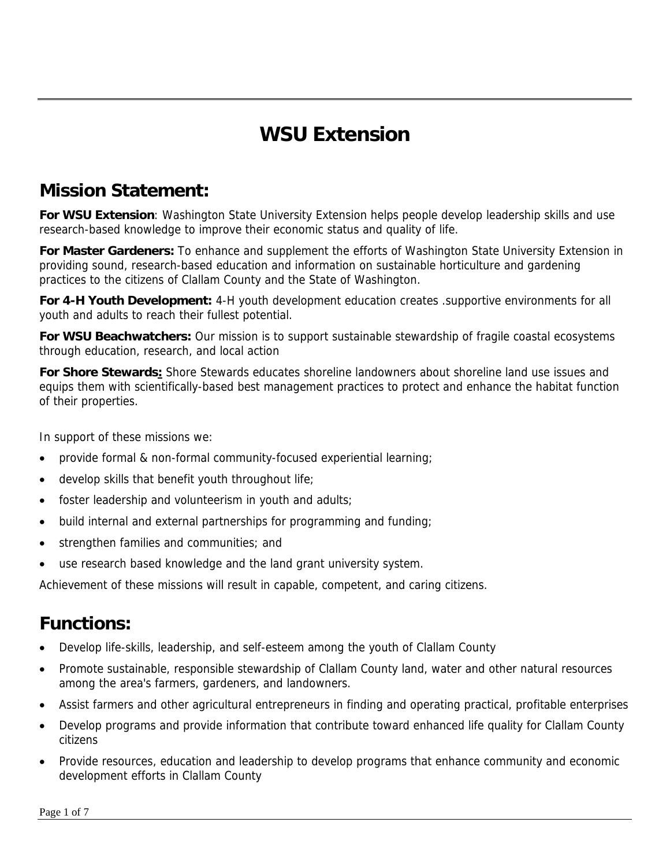# **WSU Extension**

## **Mission Statement:**

**For WSU Extension**: Washington State University Extension helps people develop leadership skills and use research-based knowledge to improve their economic status and quality of life.

**For Master Gardeners:** To enhance and supplement the efforts of Washington State University Extension in providing sound, research-based education and information on sustainable horticulture and gardening practices to the citizens of Clallam County and the State of Washington.

**For 4-H Youth Development:** 4-H youth development education creates .supportive environments for all youth and adults to reach their fullest potential.

**For WSU Beachwatchers:** Our mission is to support sustainable stewardship of fragile coastal ecosystems through education, research, and local action

**For Shore Stewards:** Shore Stewards educates shoreline landowners about shoreline land use issues and equips them with scientifically-based best management practices to protect and enhance the habitat function of their properties.

In support of these missions we:

- provide formal & non-formal community-focused experiential learning;
- develop skills that benefit youth throughout life;
- foster leadership and volunteerism in youth and adults;
- build internal and external partnerships for programming and funding;
- strengthen families and communities; and
- use research based knowledge and the land grant university system.

Achievement of these missions will result in capable, competent, and caring citizens.

## **Functions:**

- Develop life-skills, leadership, and self-esteem among the youth of Clallam County
- Promote sustainable, responsible stewardship of Clallam County land, water and other natural resources among the area's farmers, gardeners, and landowners.
- Assist farmers and other agricultural entrepreneurs in finding and operating practical, profitable enterprises
- Develop programs and provide information that contribute toward enhanced life quality for Clallam County citizens
- Provide resources, education and leadership to develop programs that enhance community and economic development efforts in Clallam County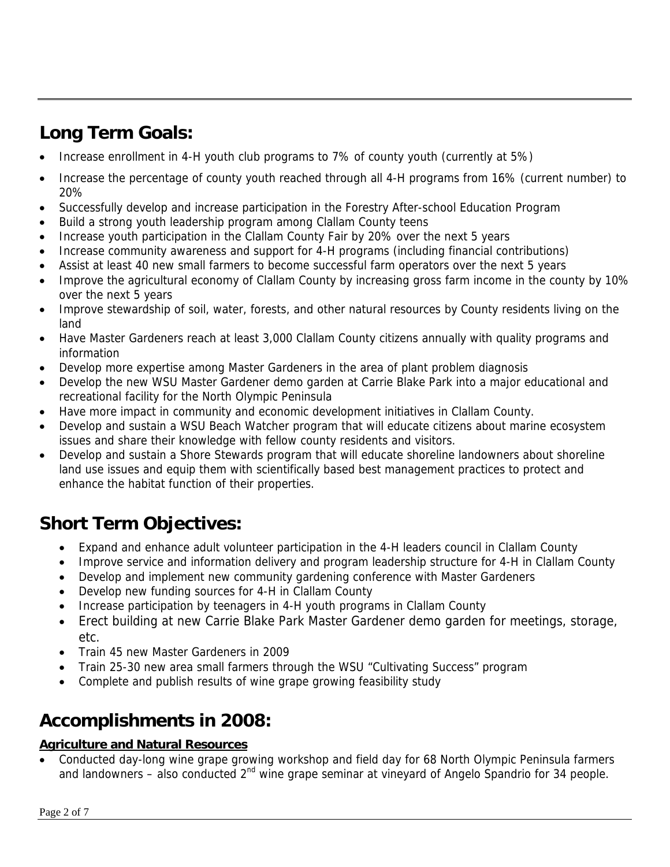## **Long Term Goals:**

- Increase enrollment in 4-H youth club programs to 7% of county youth (currently at 5%)
- Increase the percentage of county youth reached through all 4-H programs from 16% (current number) to 20%
- Successfully develop and increase participation in the Forestry After-school Education Program
- Build a strong youth leadership program among Clallam County teens
- Increase youth participation in the Clallam County Fair by 20% over the next 5 years
- Increase community awareness and support for 4-H programs (including financial contributions)
- Assist at least 40 new small farmers to become successful farm operators over the next 5 years
- Improve the agricultural economy of Clallam County by increasing gross farm income in the county by 10% over the next 5 years
- Improve stewardship of soil, water, forests, and other natural resources by County residents living on the land
- Have Master Gardeners reach at least 3,000 Clallam County citizens annually with quality programs and information
- Develop more expertise among Master Gardeners in the area of plant problem diagnosis
- Develop the new WSU Master Gardener demo garden at Carrie Blake Park into a major educational and recreational facility for the North Olympic Peninsula
- Have more impact in community and economic development initiatives in Clallam County.
- Develop and sustain a WSU Beach Watcher program that will educate citizens about marine ecosystem issues and share their knowledge with fellow county residents and visitors.
- Develop and sustain a Shore Stewards program that will educate shoreline landowners about shoreline land use issues and equip them with scientifically based best management practices to protect and enhance the habitat function of their properties.

## **Short Term Objectives:**

- Expand and enhance adult volunteer participation in the 4-H leaders council in Clallam County
- Improve service and information delivery and program leadership structure for 4-H in Clallam County
- Develop and implement new community gardening conference with Master Gardeners
- Develop new funding sources for 4-H in Clallam County
- Increase participation by teenagers in 4-H youth programs in Clallam County
- Erect building at new Carrie Blake Park Master Gardener demo garden for meetings, storage, etc.
- Train 45 new Master Gardeners in 2009
- Train 25-30 new area small farmers through the WSU "Cultivating Success" program
- Complete and publish results of wine grape growing feasibility study

### **Accomplishments in 2008:**

#### **Agriculture and Natural Resources**

• Conducted day-long wine grape growing workshop and field day for 68 North Olympic Peninsula farmers and landowners – also conducted 2<sup>nd</sup> wine grape seminar at vineyard of Angelo Spandrio for 34 people.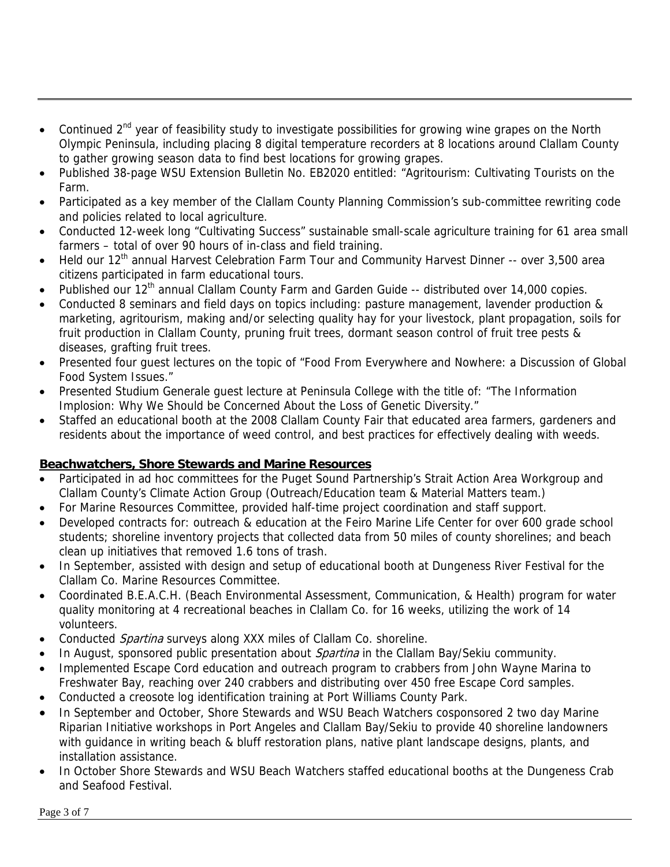- Continued 2<sup>nd</sup> year of feasibility study to investigate possibilities for growing wine grapes on the North Olympic Peninsula, including placing 8 digital temperature recorders at 8 locations around Clallam County to gather growing season data to find best locations for growing grapes.
- Published 38-page WSU Extension Bulletin No. EB2020 entitled: "Agritourism: Cultivating Tourists on the Farm.
- Participated as a key member of the Clallam County Planning Commission's sub-committee rewriting code and policies related to local agriculture.
- Conducted 12-week long "Cultivating Success" sustainable small-scale agriculture training for 61 area small farmers – total of over 90 hours of in-class and field training.
- Held our 12<sup>th</sup> annual Harvest Celebration Farm Tour and Community Harvest Dinner -- over 3,500 area citizens participated in farm educational tours.
- Published our 12<sup>th</sup> annual Clallam County Farm and Garden Guide -- distributed over 14,000 copies.
- Conducted 8 seminars and field days on topics including: pasture management, lavender production & marketing, agritourism, making and/or selecting quality hay for your livestock, plant propagation, soils for fruit production in Clallam County, pruning fruit trees, dormant season control of fruit tree pests & diseases, grafting fruit trees.
- Presented four guest lectures on the topic of "Food From Everywhere and Nowhere: a Discussion of Global Food System Issues."
- Presented Studium Generale guest lecture at Peninsula College with the title of: "The Information Implosion: Why We Should be Concerned About the Loss of Genetic Diversity."
- Staffed an educational booth at the 2008 Clallam County Fair that educated area farmers, gardeners and residents about the importance of weed control, and best practices for effectively dealing with weeds.

#### **Beachwatchers, Shore Stewards and Marine Resources**

- Participated in ad hoc committees for the Puget Sound Partnership's Strait Action Area Workgroup and Clallam County's Climate Action Group (Outreach/Education team & Material Matters team.)
- For Marine Resources Committee, provided half-time project coordination and staff support.
- Developed contracts for: outreach & education at the Feiro Marine Life Center for over 600 grade school students; shoreline inventory projects that collected data from 50 miles of county shorelines; and beach clean up initiatives that removed 1.6 tons of trash.
- In September, assisted with design and setup of educational booth at Dungeness River Festival for the Clallam Co. Marine Resources Committee.
- Coordinated B.E.A.C.H. (Beach Environmental Assessment, Communication, & Health) program for water quality monitoring at 4 recreational beaches in Clallam Co. for 16 weeks, utilizing the work of 14 volunteers.
- Conducted *Spartina* surveys along XXX miles of Clallam Co. shoreline.
- In August, sponsored public presentation about *Spartina* in the Clallam Bay/Sekiu community.
- Implemented Escape Cord education and outreach program to crabbers from John Wayne Marina to Freshwater Bay, reaching over 240 crabbers and distributing over 450 free Escape Cord samples.
- Conducted a creosote log identification training at Port Williams County Park.
- In September and October, Shore Stewards and WSU Beach Watchers cosponsored 2 two day Marine Riparian Initiative workshops in Port Angeles and Clallam Bay/Sekiu to provide 40 shoreline landowners with guidance in writing beach & bluff restoration plans, native plant landscape designs, plants, and installation assistance.
- In October Shore Stewards and WSU Beach Watchers staffed educational booths at the Dungeness Crab and Seafood Festival.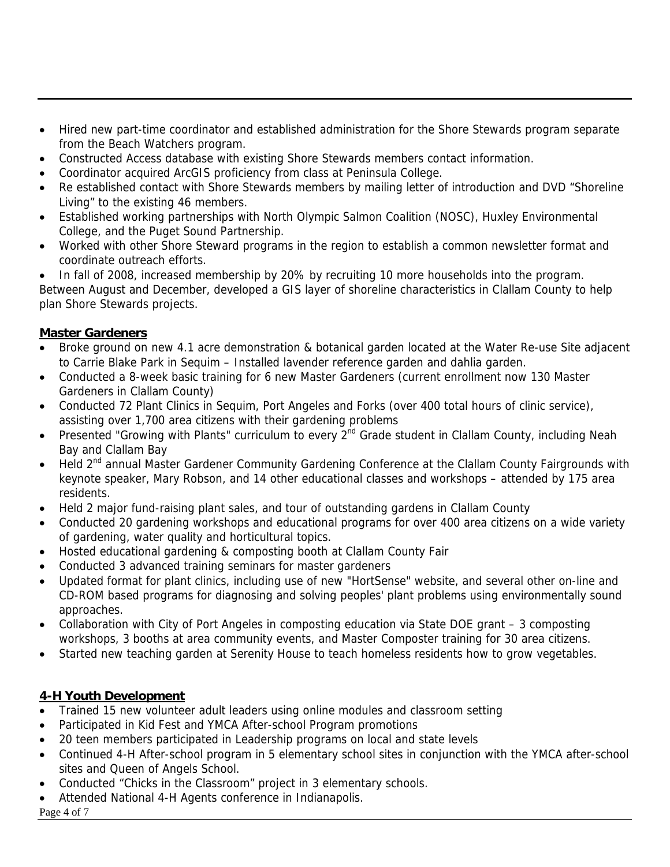- Hired new part-time coordinator and established administration for the Shore Stewards program separate from the Beach Watchers program.
- Constructed Access database with existing Shore Stewards members contact information.
- Coordinator acquired ArcGIS proficiency from class at Peninsula College.
- Re established contact with Shore Stewards members by mailing letter of introduction and DVD "Shoreline Living" to the existing 46 members.
- Established working partnerships with North Olympic Salmon Coalition (NOSC), Huxley Environmental College, and the Puget Sound Partnership.
- Worked with other Shore Steward programs in the region to establish a common newsletter format and coordinate outreach efforts.

• In fall of 2008, increased membership by 20% by recruiting 10 more households into the program. Between August and December, developed a GIS layer of shoreline characteristics in Clallam County to help plan Shore Stewards projects.

#### **Master Gardeners**

- Broke ground on new 4.1 acre demonstration & botanical garden located at the Water Re-use Site adjacent to Carrie Blake Park in Sequim – Installed lavender reference garden and dahlia garden.
- Conducted a 8-week basic training for 6 new Master Gardeners (current enrollment now 130 Master Gardeners in Clallam County)
- Conducted 72 Plant Clinics in Sequim, Port Angeles and Forks (over 400 total hours of clinic service), assisting over 1,700 area citizens with their gardening problems
- Presented "Growing with Plants" curriculum to every 2<sup>nd</sup> Grade student in Clallam County, including Neah Bay and Clallam Bay
- Held 2<sup>nd</sup> annual Master Gardener Community Gardening Conference at the Clallam County Fairgrounds with keynote speaker, Mary Robson, and 14 other educational classes and workshops – attended by 175 area residents.
- Held 2 major fund-raising plant sales, and tour of outstanding gardens in Clallam County
- Conducted 20 gardening workshops and educational programs for over 400 area citizens on a wide variety of gardening, water quality and horticultural topics.
- Hosted educational gardening & composting booth at Clallam County Fair
- Conducted 3 advanced training seminars for master gardeners
- Updated format for plant clinics, including use of new "HortSense" website, and several other on-line and CD-ROM based programs for diagnosing and solving peoples' plant problems using environmentally sound approaches.
- Collaboration with City of Port Angeles in composting education via State DOE grant 3 composting workshops, 3 booths at area community events, and Master Composter training for 30 area citizens.
- Started new teaching garden at Serenity House to teach homeless residents how to grow vegetables.

#### **4-H Youth Development**

- Trained 15 new volunteer adult leaders using online modules and classroom setting
- Participated in Kid Fest and YMCA After-school Program promotions
- 20 teen members participated in Leadership programs on local and state levels
- Continued 4-H After-school program in 5 elementary school sites in conjunction with the YMCA after-school sites and Queen of Angels School.
- Conducted "Chicks in the Classroom" project in 3 elementary schools.
- Attended National 4-H Agents conference in Indianapolis.

Page 4 of 7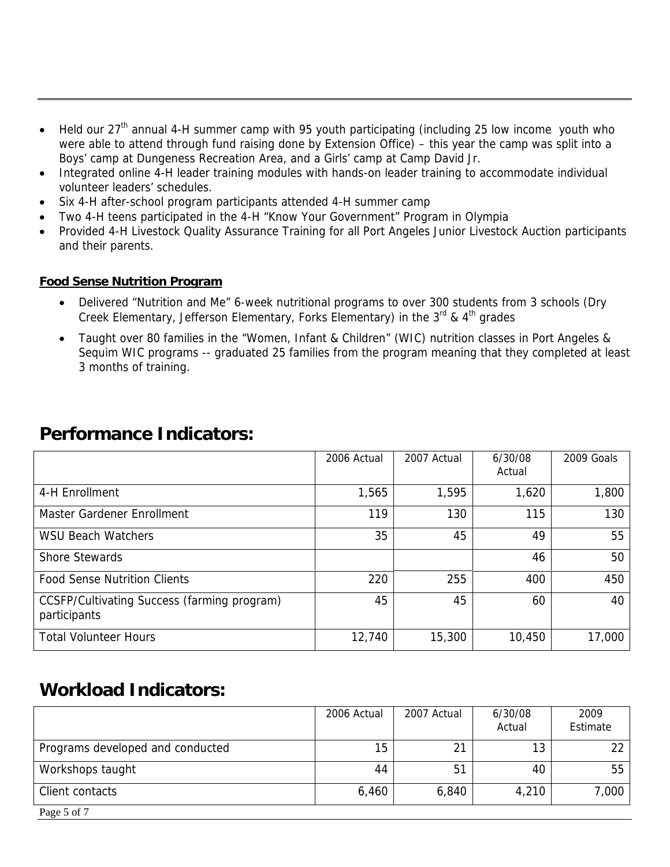- Held our 27<sup>th</sup> annual 4-H summer camp with 95 youth participating (including 25 low income youth who were able to attend through fund raising done by Extension Office) – this year the camp was split into a Boys' camp at Dungeness Recreation Area, and a Girls' camp at Camp David Jr.
- Integrated online 4-H leader training modules with hands-on leader training to accommodate individual volunteer leaders' schedules.
- Six 4-H after-school program participants attended 4-H summer camp
- Two 4-H teens participated in the 4-H "Know Your Government" Program in Olympia
- Provided 4-H Livestock Quality Assurance Training for all Port Angeles Junior Livestock Auction participants and their parents.

#### **Food Sense Nutrition Program**

- Delivered "Nutrition and Me" 6-week nutritional programs to over 300 students from 3 schools (Dry Creek Elementary, Jefferson Elementary, Forks Elementary) in the  $3<sup>rd</sup>$  &  $4<sup>th</sup>$  grades
- Taught over 80 families in the "Women, Infant & Children" (WIC) nutrition classes in Port Angeles & Sequim WIC programs -- graduated 25 families from the program meaning that they completed at least 3 months of training.

### **Performance Indicators:**

|                                                             | 2006 Actual | 2007 Actual | 6/30/08<br>Actual | 2009 Goals |
|-------------------------------------------------------------|-------------|-------------|-------------------|------------|
| 4-H Enrollment                                              | 1,565       | 1,595       | 1,620             | 1,800      |
| Master Gardener Enrollment                                  | 119         | 130         | 115               | 130        |
| <b>WSU Beach Watchers</b>                                   | 35          | 45          | 49                | 55         |
| <b>Shore Stewards</b>                                       |             |             | 46                | 50         |
| <b>Food Sense Nutrition Clients</b>                         | 220         | 255         | 400               | 450        |
| CCSFP/Cultivating Success (farming program)<br>participants | 45          | 45          | 60                | 40         |
| <b>Total Volunteer Hours</b>                                | 12,740      | 15,300      | 10,450            | 17,000     |

### **Workload Indicators:**

|                                  | 2006 Actual     | 2007 Actual    | 6/30/08<br>Actual | 2009<br>Estimate |
|----------------------------------|-----------------|----------------|-------------------|------------------|
| Programs developed and conducted | 15 <sup>2</sup> |                | 13                | 22               |
| Workshops taught                 | 44              | 5 <sup>1</sup> | 40                | 55               |
| Client contacts                  | 6,460           | 6,840          | 4,210             | 7,000            |
| Page 5 of 7                      |                 |                |                   |                  |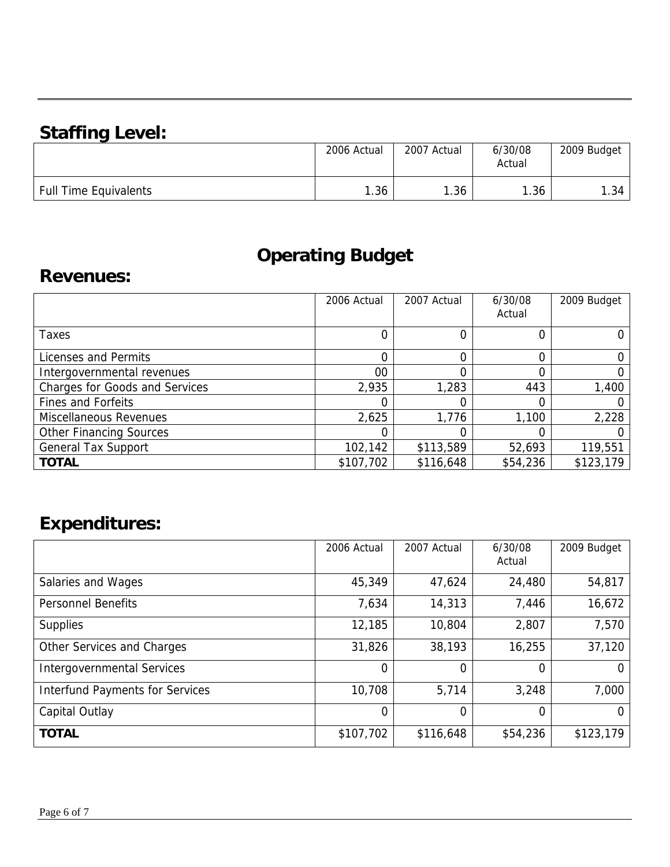# **Staffing Level:**

|                              | 2006 Actual | 2007 Actual | 6/30/08<br>Actual | 2009 Budget |
|------------------------------|-------------|-------------|-------------------|-------------|
| <b>Full Time Equivalents</b> | .36         | 1.36        | . . 36            | 1.34        |

## **Operating Budget**

### **Revenues:**

|                                       | 2006 Actual | 2007 Actual | 6/30/08<br>Actual | 2009 Budget |
|---------------------------------------|-------------|-------------|-------------------|-------------|
| Taxes                                 |             |             |                   |             |
| Licenses and Permits                  |             |             |                   |             |
| Intergovernmental revenues            | 00          |             |                   |             |
| <b>Charges for Goods and Services</b> | 2,935       | 1,283       | 443               | 1,400       |
| <b>Fines and Forfeits</b>             |             |             |                   |             |
| <b>Miscellaneous Revenues</b>         | 2,625       | 1,776       | 1,100             | 2,228       |
| <b>Other Financing Sources</b>        |             |             |                   |             |
| <b>General Tax Support</b>            | 102,142     | \$113,589   | 52,693            | 119,551     |
| <b>TOTAL</b>                          | \$107,702   | \$116,648   | \$54,236          | \$123,179   |

# **Expenditures:**

|                                        | 2006 Actual | 2007 Actual | 6/30/08<br>Actual | 2009 Budget |
|----------------------------------------|-------------|-------------|-------------------|-------------|
| Salaries and Wages                     | 45,349      | 47,624      | 24,480            | 54,817      |
| <b>Personnel Benefits</b>              | 7,634       | 14,313      | 7,446             | 16,672      |
| <b>Supplies</b>                        | 12,185      | 10,804      | 2,807             | 7,570       |
| Other Services and Charges             | 31,826      | 38,193      | 16,255            | 37,120      |
| <b>Intergovernmental Services</b>      | 0           | 0           | $\Omega$          |             |
| <b>Interfund Payments for Services</b> | 10,708      | 5,714       | 3,248             | 7,000       |
| Capital Outlay                         | 0           | $\Omega$    | $\Omega$          | 0           |
| <b>TOTAL</b>                           | \$107,702   | \$116,648   | \$54,236          | \$123,179   |